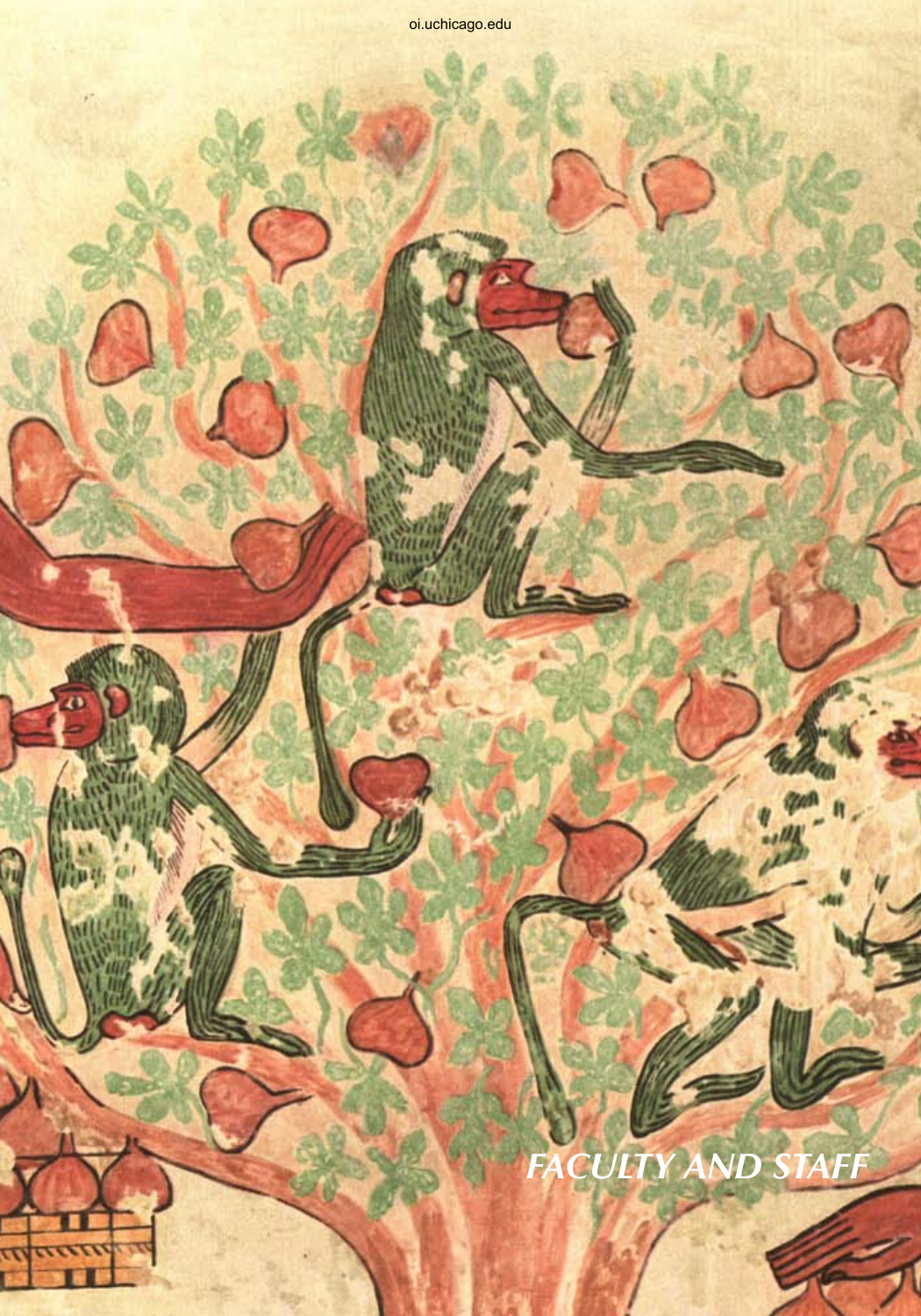k.

πn

# *faculty and staff*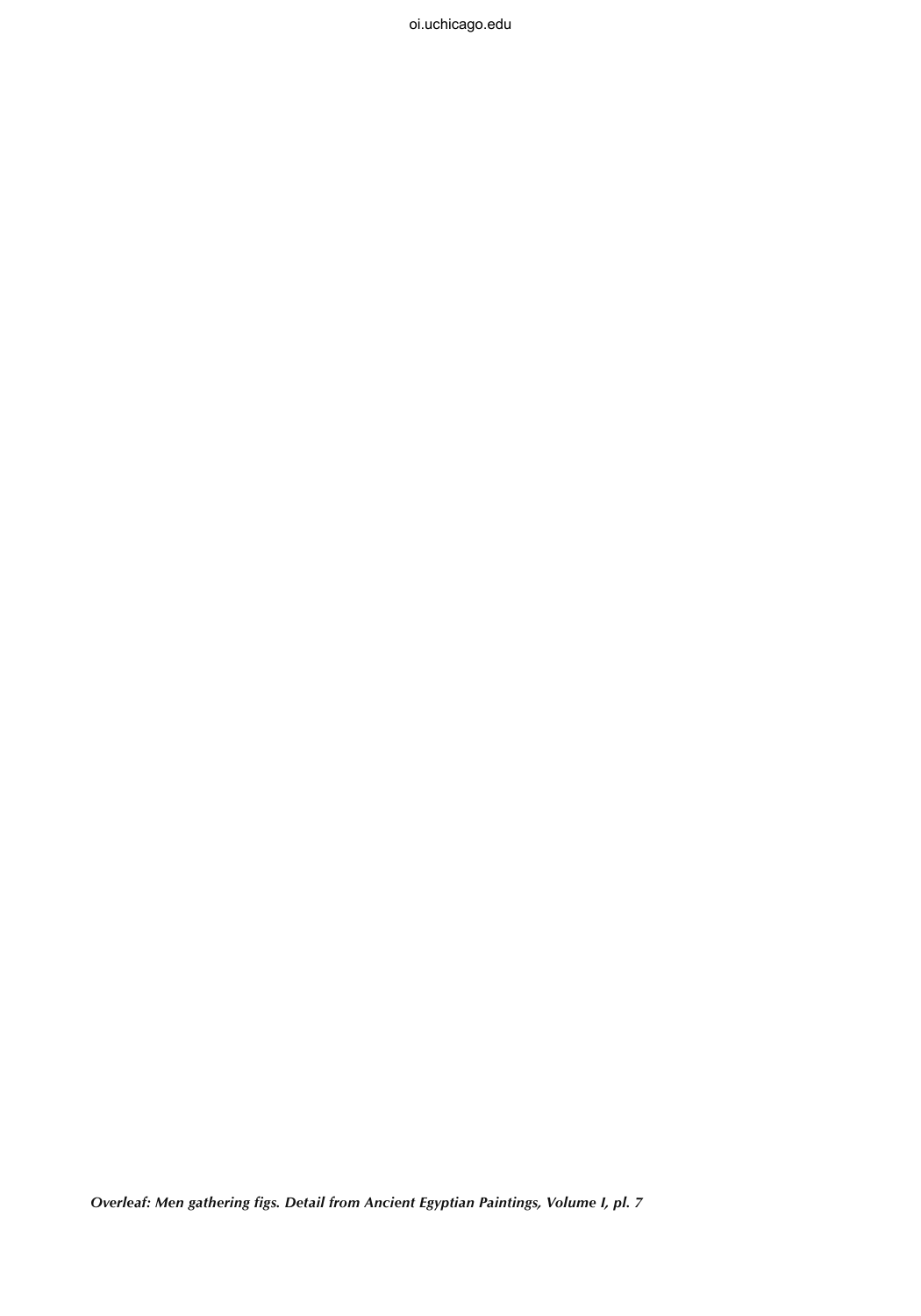*Overleaf: Men gathering figs. Detail from Ancient Egyptian Paintings, Volume I, pl. 7*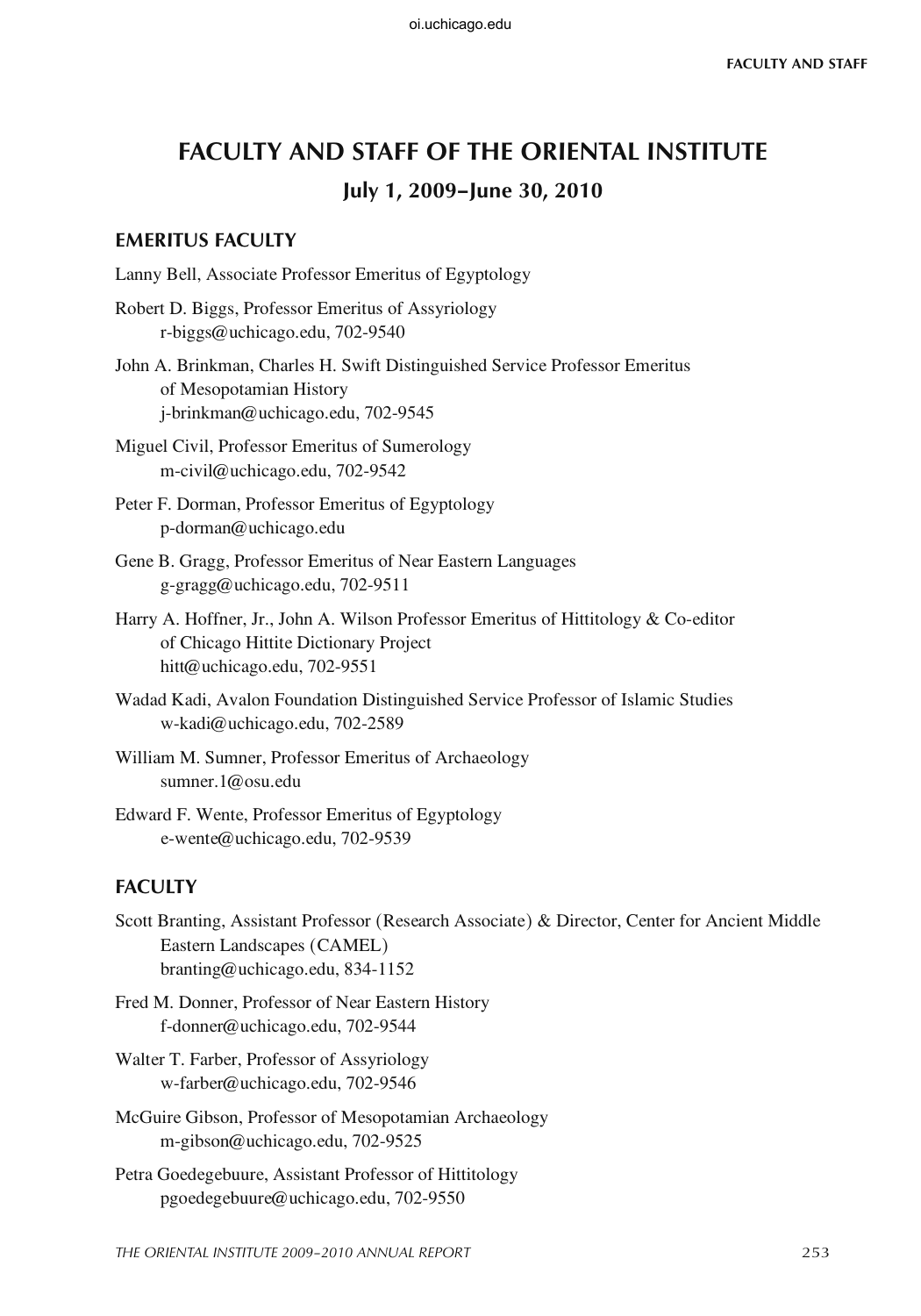# **Faculty and Staff of the Oriental Institute July 1, 2009–June 30, 2010**

## **EMERITUS FACULTY**

Lanny Bell, Associate Professor Emeritus of Egyptology

Robert D. Biggs, Professor Emeritus of Assyriology r-biggs@uchicago.edu, 702-9540

John A. Brinkman, Charles H. Swift Distinguished Service Professor Emeritus of Mesopotamian History j-brinkman@uchicago.edu, 702-9545

Miguel Civil, Professor Emeritus of Sumerology m-civil@uchicago.edu, 702-9542

Peter F. Dorman, Professor Emeritus of Egyptology p-dorman@uchicago.edu

- Gene B. Gragg, Professor Emeritus of Near Eastern Languages g-gragg@uchicago.edu, 702-9511
- Harry A. Hoffner, Jr., John A. Wilson Professor Emeritus of Hittitology & Co-editor of Chicago Hittite Dictionary Project hitt@uchicago.edu, 702-9551
- Wadad Kadi, Avalon Foundation Distinguished Service Professor of Islamic Studies w-kadi@uchicago.edu, 702-2589
- William M. Sumner, Professor Emeritus of Archaeology sumner.1@osu.edu

Edward F. Wente, Professor Emeritus of Egyptology e-wente@uchicago.edu, 702-9539

## **FACULTY**

Scott Branting, Assistant Professor (Research Associate) & Director, Center for Ancient Middle Eastern Landscapes (CAMEL) branting@uchicago.edu, 834-1152

Fred M. Donner, Professor of Near Eastern History f-donner@uchicago.edu, 702-9544

Walter T. Farber, Professor of Assyriology w-farber@uchicago.edu, 702-9546

- McGuire Gibson, Professor of Mesopotamian Archaeology m-gibson@uchicago.edu, 702-9525
- Petra Goedegebuure, Assistant Professor of Hittitology pgoedegebuure@uchicago.edu, 702-9550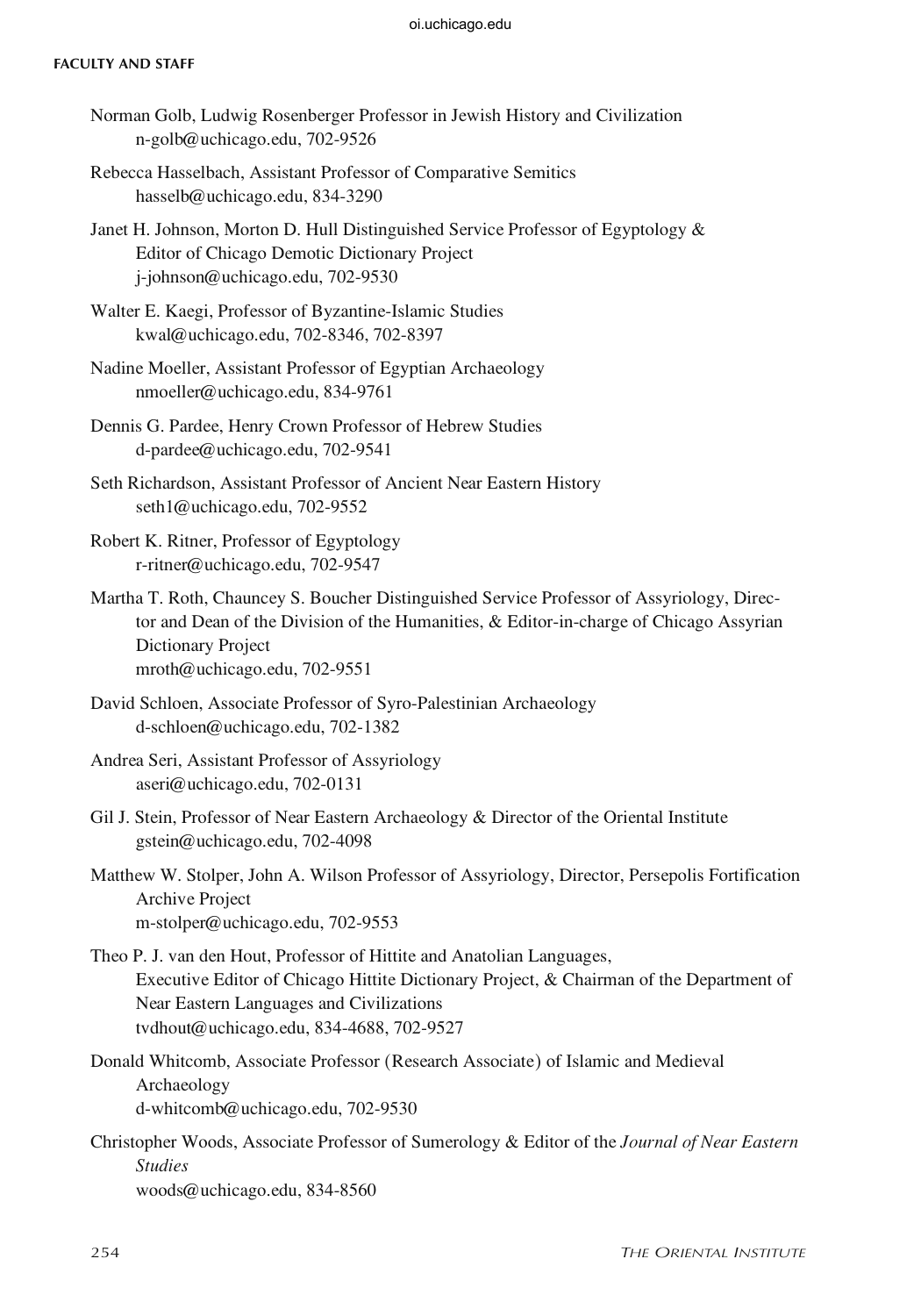#### **Faculty and Staff**

- Norman Golb, Ludwig Rosenberger Professor in Jewish History and Civilization n-golb@uchicago.edu, 702-9526
- Rebecca Hasselbach, Assistant Professor of Comparative Semitics hasselb@uchicago.edu, 834-3290
- Janet H. Johnson, Morton D. Hull Distinguished Service Professor of Egyptology & Editor of Chicago Demotic Dictionary Project j-johnson@uchicago.edu, 702-9530
- Walter E. Kaegi, Professor of Byzantine-Islamic Studies kwal@uchicago.edu, 702-8346, 702-8397
- Nadine Moeller, Assistant Professor of Egyptian Archaeology nmoeller@uchicago.edu, 834-9761
- Dennis G. Pardee, Henry Crown Professor of Hebrew Studies d-pardee@uchicago.edu, 702-9541
- Seth Richardson, Assistant Professor of Ancient Near Eastern History seth1@uchicago.edu, 702-9552
- Robert K. Ritner, Professor of Egyptology r-ritner@uchicago.edu, 702-9547
- Martha T. Roth, Chauncey S. Boucher Distinguished Service Professor of Assyriology, Director and Dean of the Division of the Humanities, & Editor-in-charge of Chicago Assyrian Dictionary Project mroth@uchicago.edu, 702-9551
- David Schloen, Associate Professor of Syro-Palestinian Archaeology
	- d-schloen@uchicago.edu, 702-1382
- Andrea Seri, Assistant Professor of Assyriology aseri@uchicago.edu, 702-0131
- Gil J. Stein, Professor of Near Eastern Archaeology & Director of the Oriental Institute gstein@uchicago.edu, 702-4098
- Matthew W. Stolper, John A. Wilson Professor of Assyriology, Director, Persepolis Fortification Archive Project m-stolper@uchicago.edu, 702-9553
- Theo P. J. van den Hout, Professor of Hittite and Anatolian Languages, Executive Editor of Chicago Hittite Dictionary Project, & Chairman of the Department of Near Eastern Languages and Civilizations tvdhout@uchicago.edu, 834-4688, 702-9527
- Donald Whitcomb, Associate Professor (Research Associate) of Islamic and Medieval Archaeology d-whitcomb@uchicago.edu, 702-9530
- Christopher Woods, Associate Professor of Sumerology & Editor of the *Journal of Near Eastern Studies*  woods@uchicago.edu, 834-8560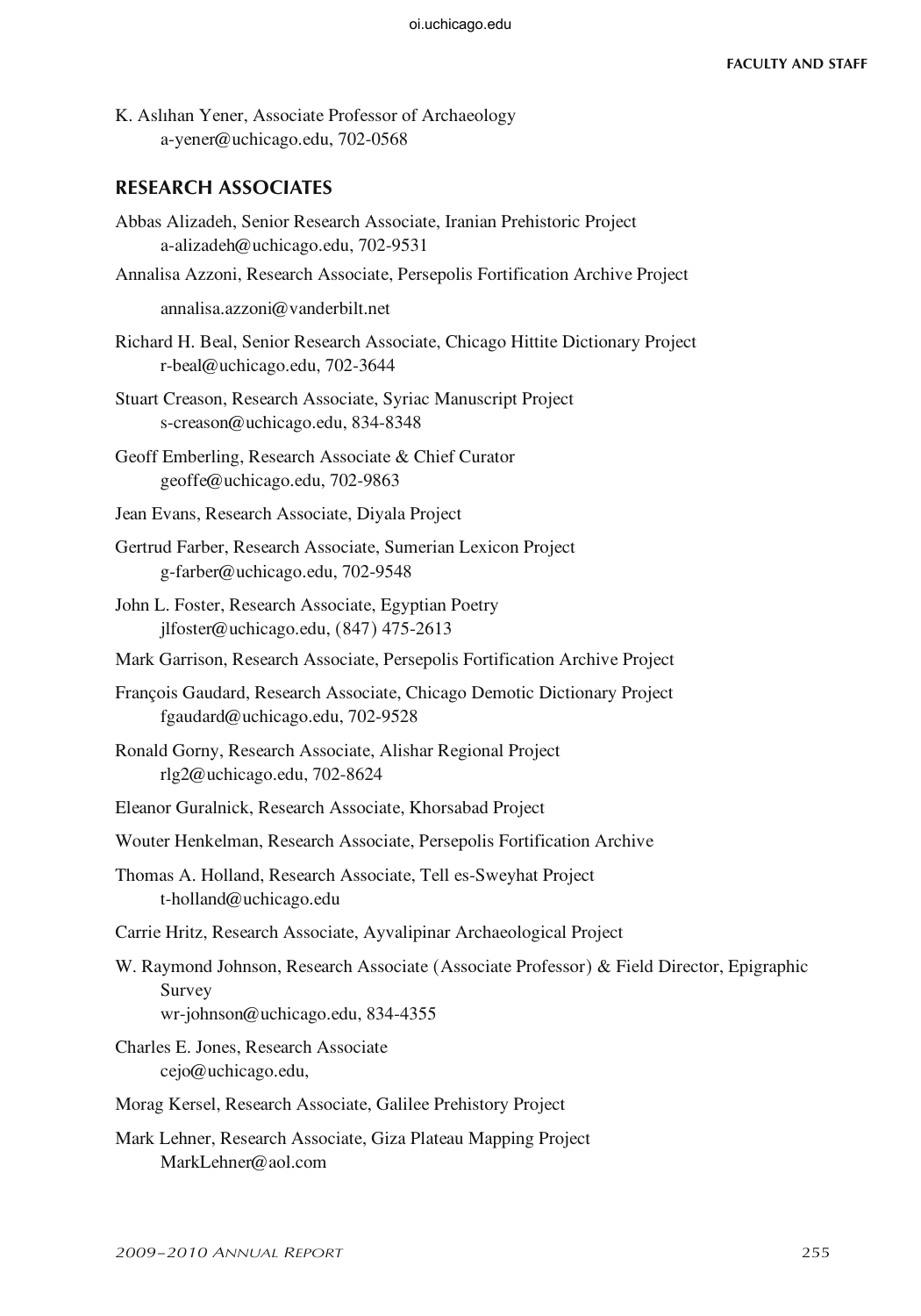K. Aslıhan Yener, Associate Professor of Archaeology a-yener@uchicago.edu, 702-0568

#### **RESEARCH ASSOCIATES**

- Abbas Alizadeh, Senior Research Associate, Iranian Prehistoric Project a-alizadeh@uchicago.edu, 702-9531
- Annalisa Azzoni, Research Associate, Persepolis Fortification Archive Project

annalisa.azzoni@vanderbilt.net

- Richard H. Beal, Senior Research Associate, Chicago Hittite Dictionary Project r-beal@uchicago.edu, 702-3644
- Stuart Creason, Research Associate, Syriac Manuscript Project s-creason@uchicago.edu, 834-8348
- Geoff Emberling, Research Associate & Chief Curator geoffe@uchicago.edu, 702-9863
- Jean Evans, Research Associate, Diyala Project
- Gertrud Farber, Research Associate, Sumerian Lexicon Project g-farber@uchicago.edu, 702-9548
- John L. Foster, Research Associate, Egyptian Poetry jlfoster@uchicago.edu, (847) 475-2613
- Mark Garrison, Research Associate, Persepolis Fortification Archive Project
- François Gaudard, Research Associate, Chicago Demotic Dictionary Project fgaudard@uchicago.edu, 702-9528
- Ronald Gorny, Research Associate, Alishar Regional Project rlg2@uchicago.edu, 702-8624
- Eleanor Guralnick, Research Associate, Khorsabad Project
- Wouter Henkelman, Research Associate, Persepolis Fortification Archive
- Thomas A. Holland, Research Associate, Tell es-Sweyhat Project t-holland@uchicago.edu
- Carrie Hritz, Research Associate, Ayvalipinar Archaeological Project
- W. Raymond Johnson, Research Associate (Associate Professor) & Field Director, Epigraphic Survey wr-johnson@uchicago.edu, 834-4355
- Charles E. Jones, Research Associate cejo@uchicago.edu,
- Morag Kersel, Research Associate, Galilee Prehistory Project
- Mark Lehner, Research Associate, Giza Plateau Mapping Project MarkLehner@aol.com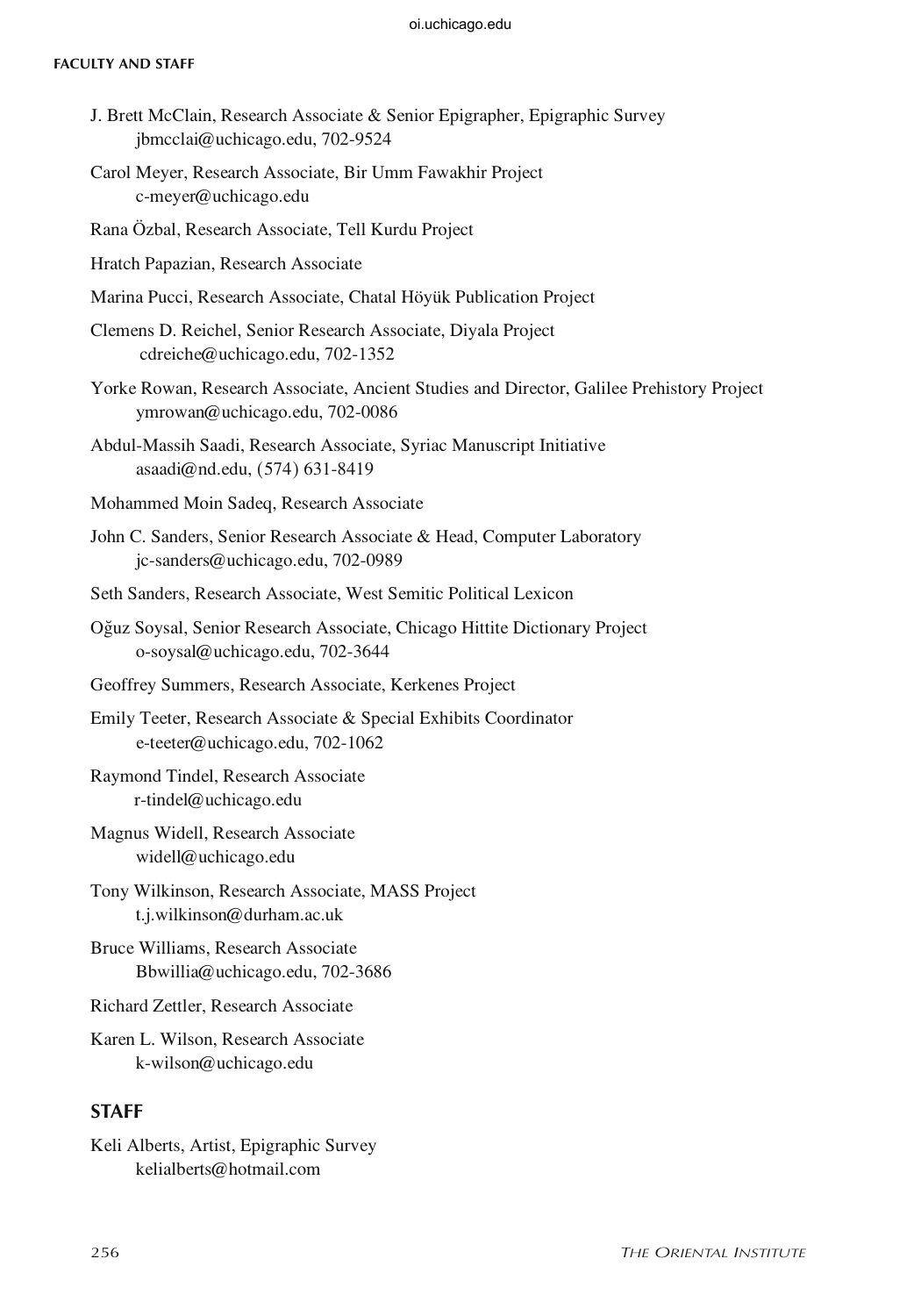#### **Faculty and Staff**

- J. Brett McClain, Research Associate & Senior Epigrapher, Epigraphic Survey jbmcclai@uchicago.edu, 702-9524
- Carol Meyer, Research Associate, Bir Umm Fawakhir Project c-meyer@uchicago.edu

Rana Özbal, Research Associate, Tell Kurdu Project

- Hratch Papazian, Research Associate
- Marina Pucci, Research Associate, Chatal Höyük Publication Project
- Clemens D. Reichel, Senior Research Associate, Diyala Project cdreiche@uchicago.edu, 702-1352
- Yorke Rowan, Research Associate, Ancient Studies and Director, Galilee Prehistory Project ymrowan@uchicago.edu, 702-0086
- Abdul-Massih Saadi, Research Associate, Syriac Manuscript Initiative asaadi@nd.edu, (574) 631-8419
- Mohammed Moin Sadeq, Research Associate
- John C. Sanders, Senior Research Associate & Head, Computer Laboratory jc-sanders@uchicago.edu, 702-0989
- Seth Sanders, Research Associate, West Semitic Political Lexicon
- O©uz Soysal, Senior Research Associate, Chicago Hittite Dictionary Project o-soysal@uchicago.edu, 702-3644
- Geoffrey Summers, Research Associate, Kerkenes Project
- Emily Teeter, Research Associate & Special Exhibits Coordinator e-teeter@uchicago.edu, 702-1062
- Raymond Tindel, Research Associate r-tindel@uchicago.edu
- Magnus Widell, Research Associate widell@uchicago.edu
- Tony Wilkinson, Research Associate, MASS Project t.j.wilkinson@durham.ac.uk
- Bruce Williams, Research Associate Bbwillia@uchicago.edu, 702-3686
- Richard Zettler, Research Associate
- Karen L. Wilson, Research Associate k-wilson@uchicago.edu

### **STAFF**

Keli Alberts, Artist, Epigraphic Survey kelialberts@hotmail.com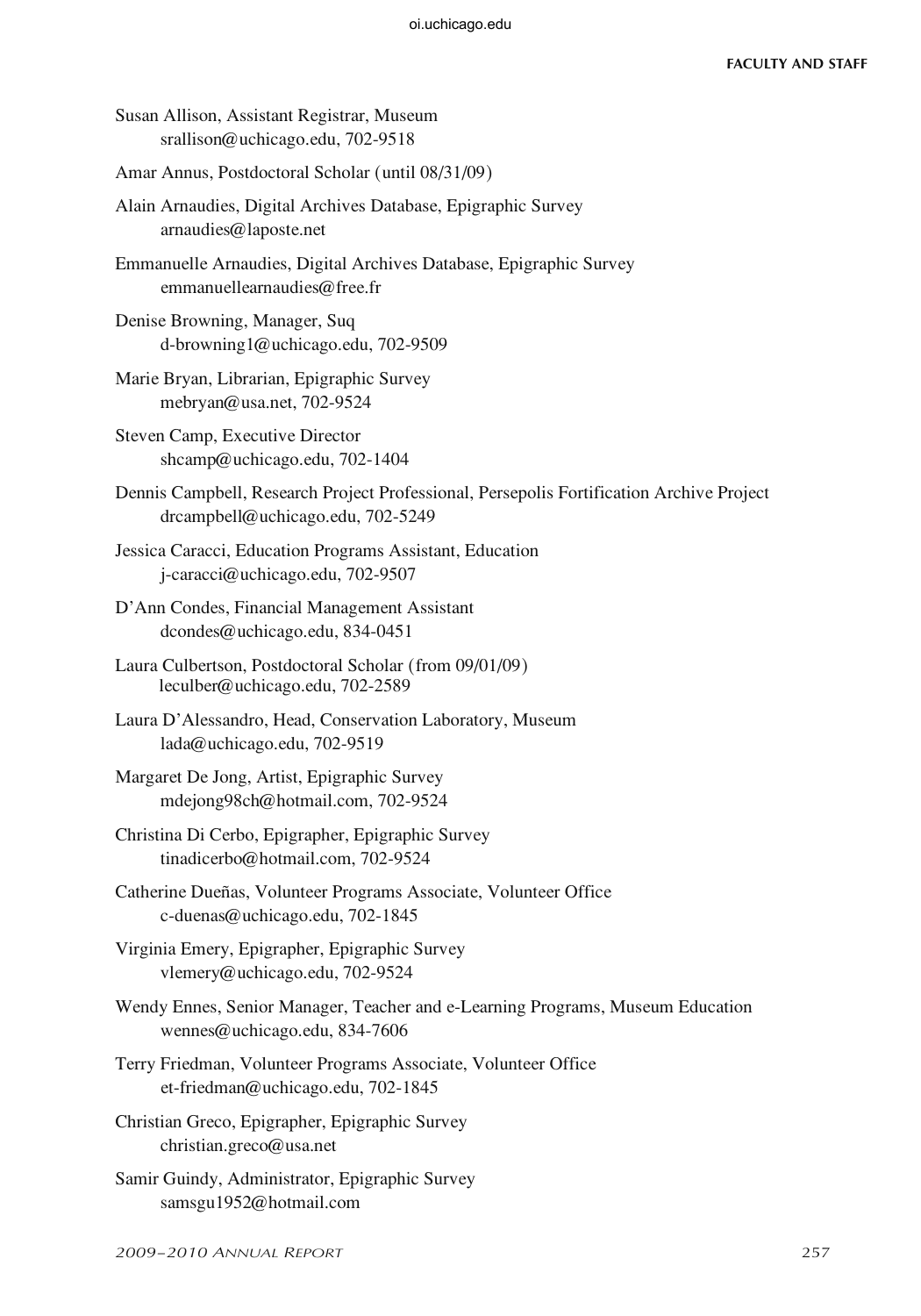Susan Allison, Assistant Registrar, Museum srallison@uchicago.edu, 702-9518

Amar Annus, Postdoctoral Scholar (until 08/31/09)

Alain Arnaudies, Digital Archives Database, Epigraphic Survey arnaudies@laposte.net

Emmanuelle Arnaudies, Digital Archives Database, Epigraphic Survey emmanuellearnaudies@free.fr

Denise Browning, Manager, Suq d-browning1@uchicago.edu, 702-9509

Marie Bryan, Librarian, Epigraphic Survey mebryan@usa.net, 702-9524

Steven Camp, Executive Director shcamp@uchicago.edu, 702-1404

- Dennis Campbell, Research Project Professional, Persepolis Fortification Archive Project drcampbell@uchicago.edu, 702-5249
- Jessica Caracci, Education Programs Assistant, Education j-caracci@uchicago.edu, 702-9507
- D'Ann Condes, Financial Management Assistant dcondes@uchicago.edu, 834-0451
- Laura Culbertson, Postdoctoral Scholar (from 09/01/09) leculber@uchicago.edu, 702-2589
- Laura D'Alessandro, Head, Conservation Laboratory, Museum lada@uchicago.edu, 702-9519
- Margaret De Jong, Artist, Epigraphic Survey mdejong98ch@hotmail.com, 702-9524
- Christina Di Cerbo, Epigrapher, Epigraphic Survey tinadicerbo@hotmail.com, 702-9524
- Catherine Dueñas, Volunteer Programs Associate, Volunteer Office c-duenas@uchicago.edu, 702-1845

Virginia Emery, Epigrapher, Epigraphic Survey vlemery@uchicago.edu, 702-9524

- Wendy Ennes, Senior Manager, Teacher and e-Learning Programs, Museum Education wennes@uchicago.edu, 834-7606
- Terry Friedman, Volunteer Programs Associate, Volunteer Office et-friedman@uchicago.edu, 702-1845
- Christian Greco, Epigrapher, Epigraphic Survey christian.greco@usa.net
- Samir Guindy, Administrator, Epigraphic Survey samsgu1952@hotmail.com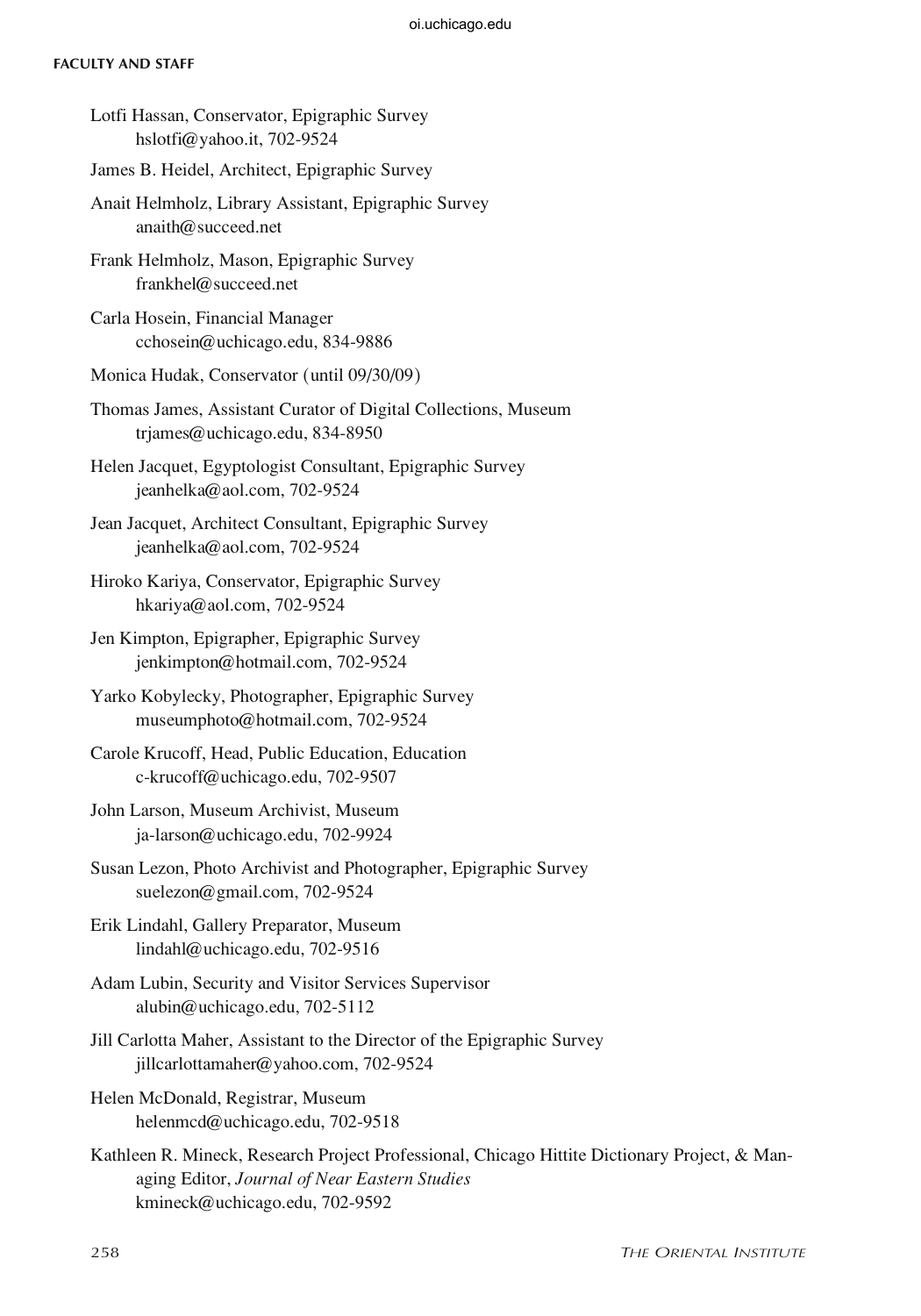#### **Faculty and Staff**

- Lotfi Hassan, Conservator, Epigraphic Survey hslotfi@yahoo.it, 702-9524
- James B. Heidel, Architect, Epigraphic Survey
- Anait Helmholz, Library Assistant, Epigraphic Survey anaith@succeed.net
- Frank Helmholz, Mason, Epigraphic Survey frankhel@succeed.net
- Carla Hosein, Financial Manager cchosein@uchicago.edu, 834-9886
- Monica Hudak, Conservator (until 09/30/09)
- Thomas James, Assistant Curator of Digital Collections, Museum trjames@uchicago.edu, 834-8950
- Helen Jacquet, Egyptologist Consultant, Epigraphic Survey jeanhelka@aol.com, 702-9524
- Jean Jacquet, Architect Consultant, Epigraphic Survey jeanhelka@aol.com, 702-9524
- Hiroko Kariya, Conservator, Epigraphic Survey hkariya@aol.com, 702-9524
- Jen Kimpton, Epigrapher, Epigraphic Survey jenkimpton@hotmail.com, 702-9524
- Yarko Kobylecky, Photographer, Epigraphic Survey museumphoto@hotmail.com, 702-9524
- Carole Krucoff, Head, Public Education, Education c-krucoff@uchicago.edu, 702-9507
- John Larson, Museum Archivist, Museum ja-larson@uchicago.edu, 702-9924
- Susan Lezon, Photo Archivist and Photographer, Epigraphic Survey suelezon@gmail.com, 702-9524
- Erik Lindahl, Gallery Preparator, Museum lindahl@uchicago.edu, 702-9516
- Adam Lubin, Security and Visitor Services Supervisor alubin@uchicago.edu, 702-5112
- Jill Carlotta Maher, Assistant to the Director of the Epigraphic Survey jillcarlottamaher@yahoo.com, 702-9524
- Helen McDonald, Registrar, Museum helenmcd@uchicago.edu, 702-9518
- Kathleen R. Mineck, Research Project Professional, Chicago Hittite Dictionary Project, & Managing Editor, *Journal of Near Eastern Studies* kmineck@uchicago.edu, 702-9592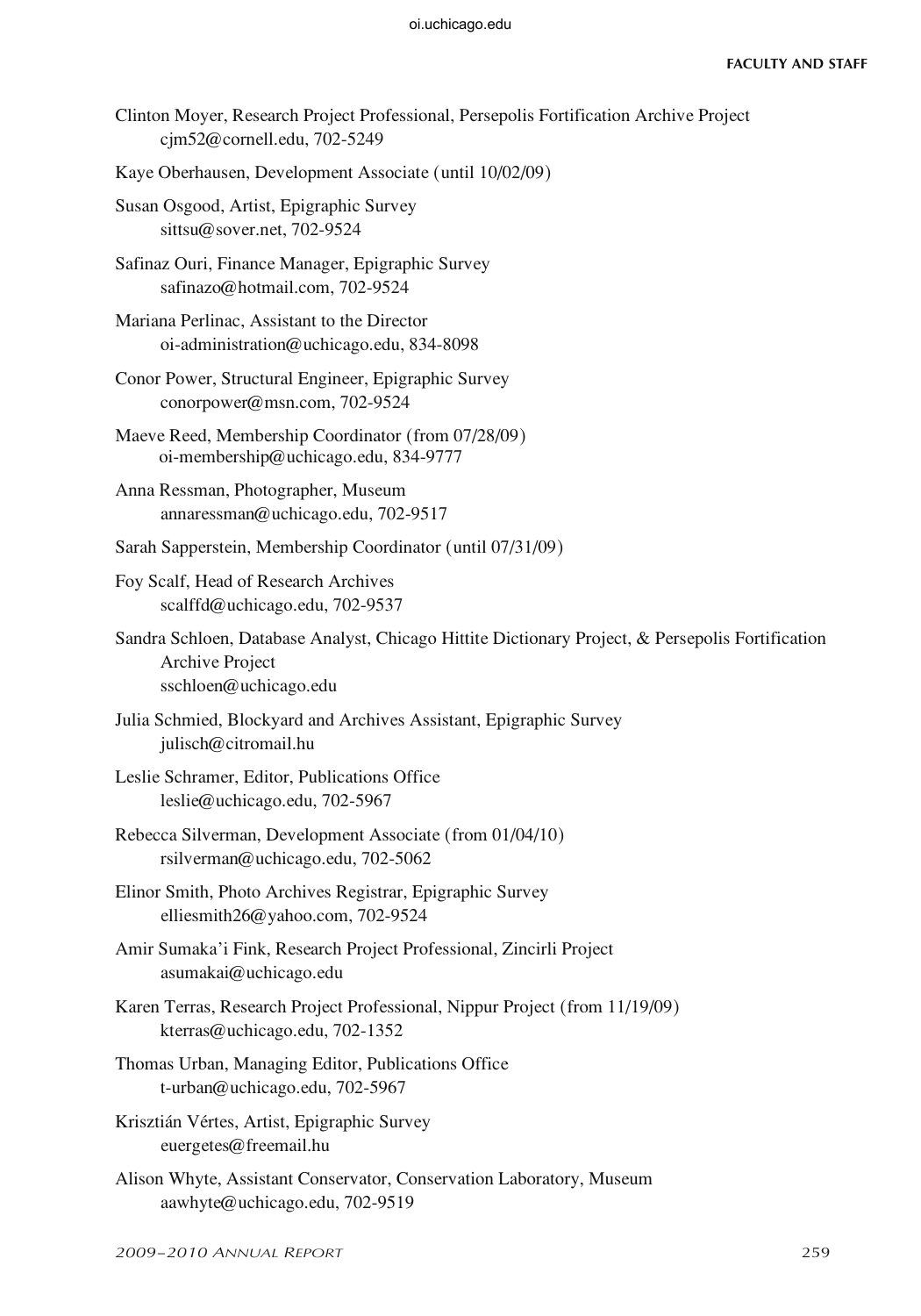- Clinton Moyer, Research Project Professional, Persepolis Fortification Archive Project cjm52@cornell.edu, 702-5249
- Kaye Oberhausen, Development Associate (until 10/02/09)
- Susan Osgood, Artist, Epigraphic Survey sittsu@sover.net, 702-9524
- Safinaz Ouri, Finance Manager, Epigraphic Survey safinazo@hotmail.com, 702-9524
- Mariana Perlinac, Assistant to the Director oi-administration@uchicago.edu, 834-8098
- Conor Power, Structural Engineer, Epigraphic Survey conorpower@msn.com, 702-9524
- Maeve Reed, Membership Coordinator (from 07/28/09) oi-membership@uchicago.edu, 834-9777
- Anna Ressman, Photographer, Museum annaressman@uchicago.edu, 702-9517
- Sarah Sapperstein, Membership Coordinator (until 07/31/09)
- Foy Scalf, Head of Research Archives scalffd@uchicago.edu, 702-9537
- Sandra Schloen, Database Analyst, Chicago Hittite Dictionary Project, & Persepolis Fortification Archive Project sschloen@uchicago.edu
- Julia Schmied, Blockyard and Archives Assistant, Epigraphic Survey julisch@citromail.hu
- Leslie Schramer, Editor, Publications Office leslie@uchicago.edu, 702-5967
- Rebecca Silverman, Development Associate (from 01/04/10) rsilverman@uchicago.edu, 702-5062
- Elinor Smith, Photo Archives Registrar, Epigraphic Survey elliesmith26@yahoo.com, 702-9524
- Amir Sumaka'i Fink, Research Project Professional, Zincirli Project asumakai@uchicago.edu
- Karen Terras, Research Project Professional, Nippur Project (from 11/19/09) kterras@uchicago.edu, 702-1352
- Thomas Urban, Managing Editor, Publications Office t-urban@uchicago.edu, 702-5967
- Krisztián Vértes, Artist, Epigraphic Survey euergetes@freemail.hu
- Alison Whyte, Assistant Conservator, Conservation Laboratory, Museum aawhyte@uchicago.edu, 702-9519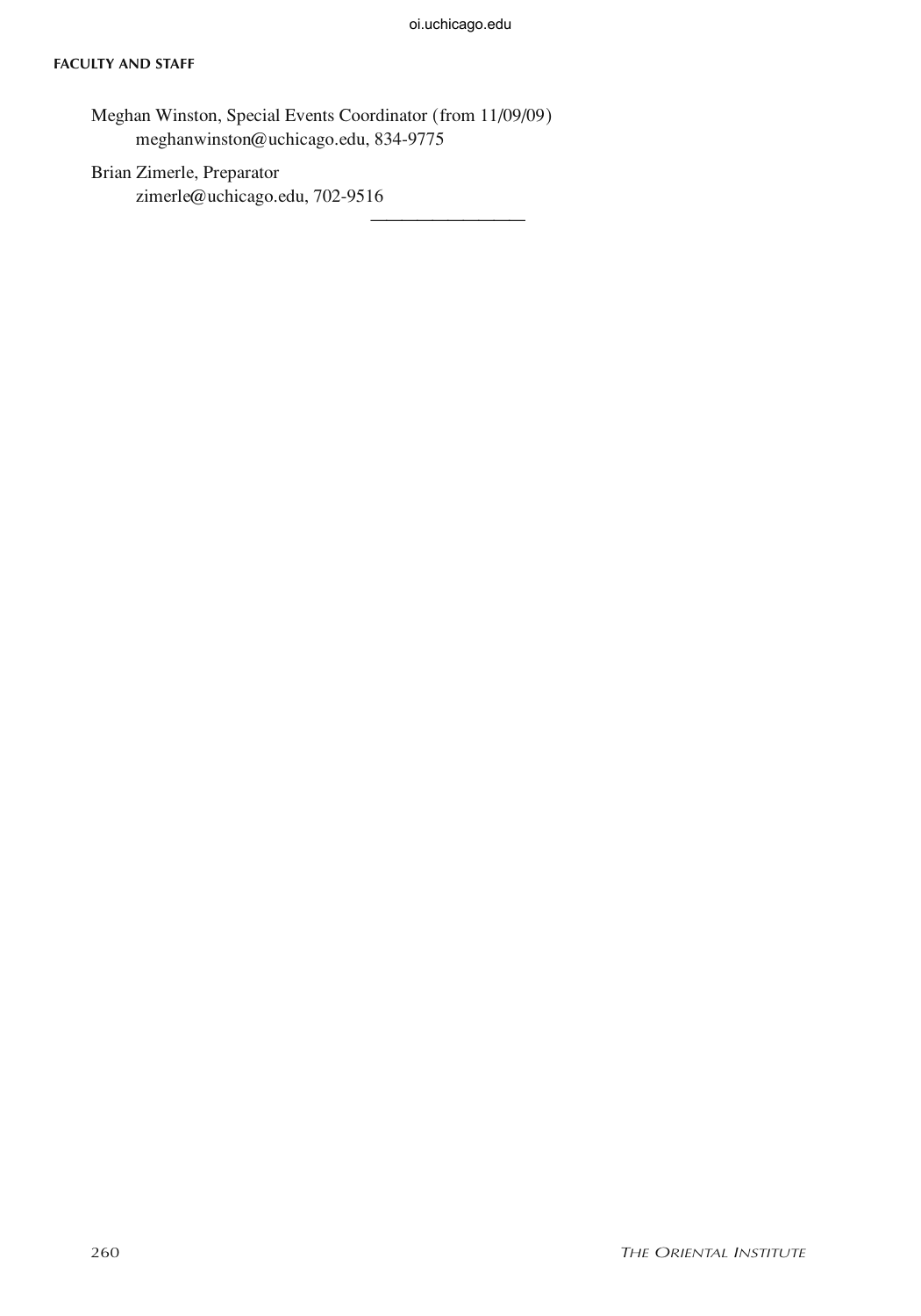——————————

#### **Faculty and Staff**

Meghan Winston, Special Events Coordinator (from 11/09/09) meghanwinston@uchicago.edu, 834-9775

Brian Zimerle, Preparator zimerle@uchicago.edu, 702-9516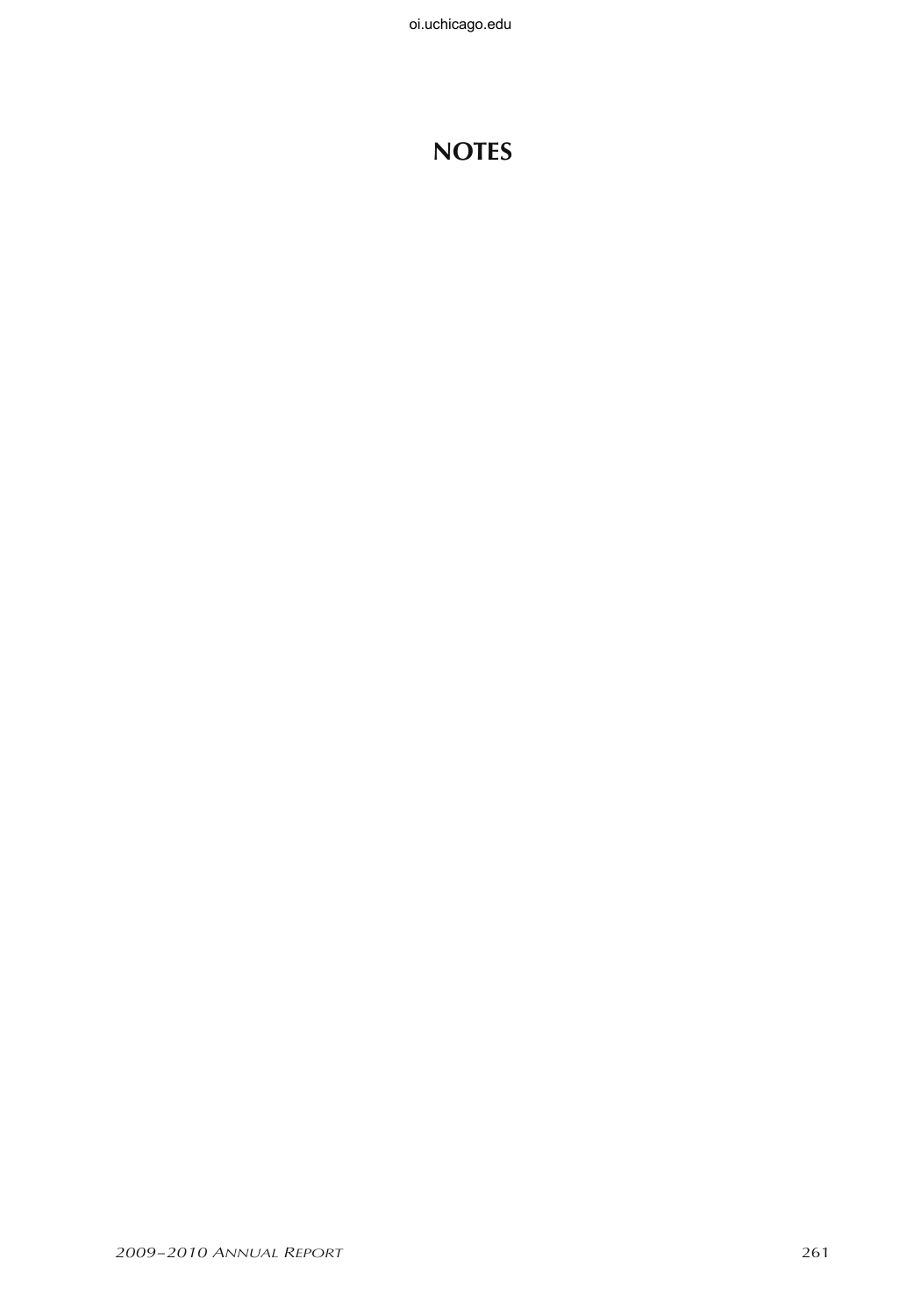# **Notes**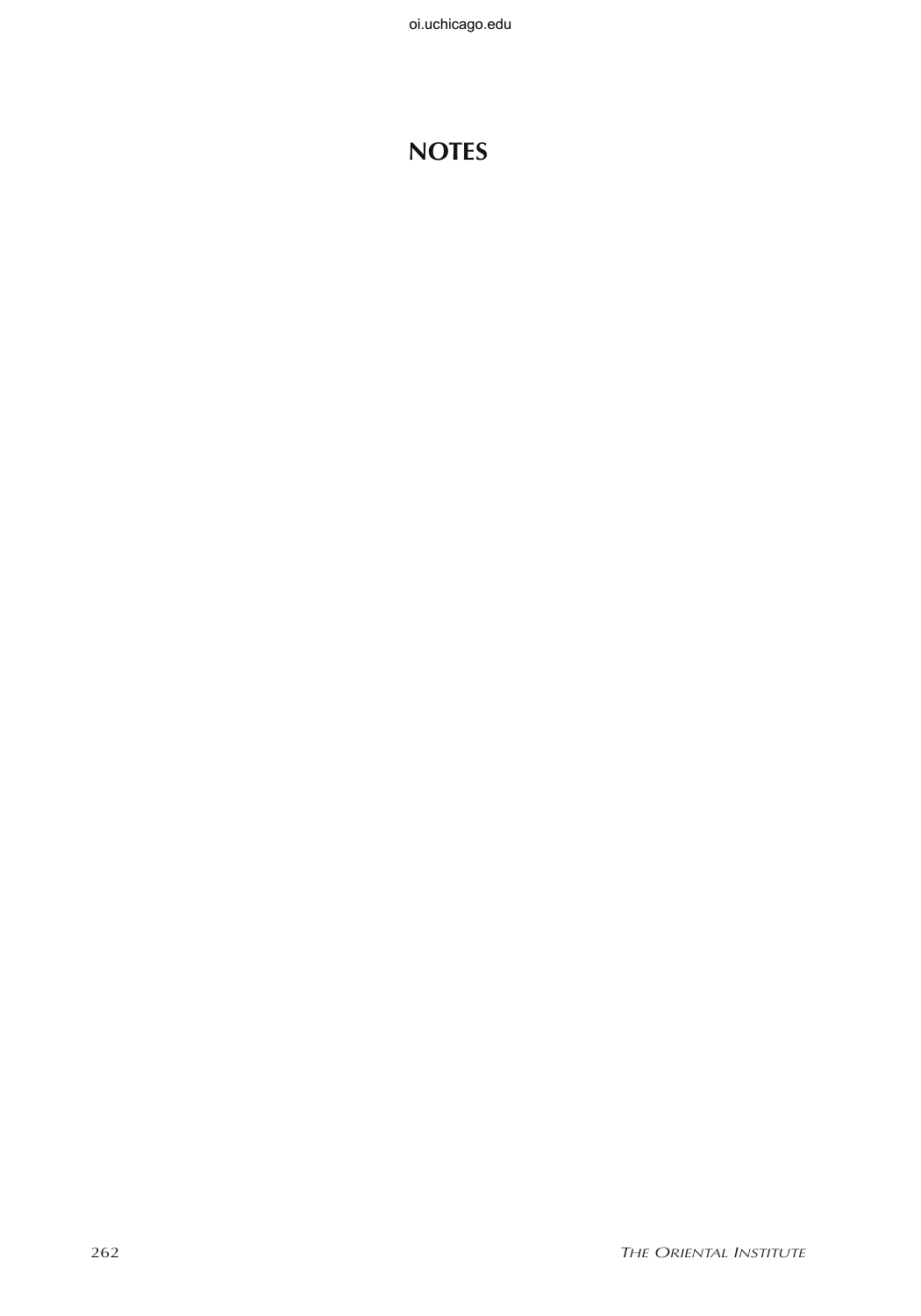# **Notes**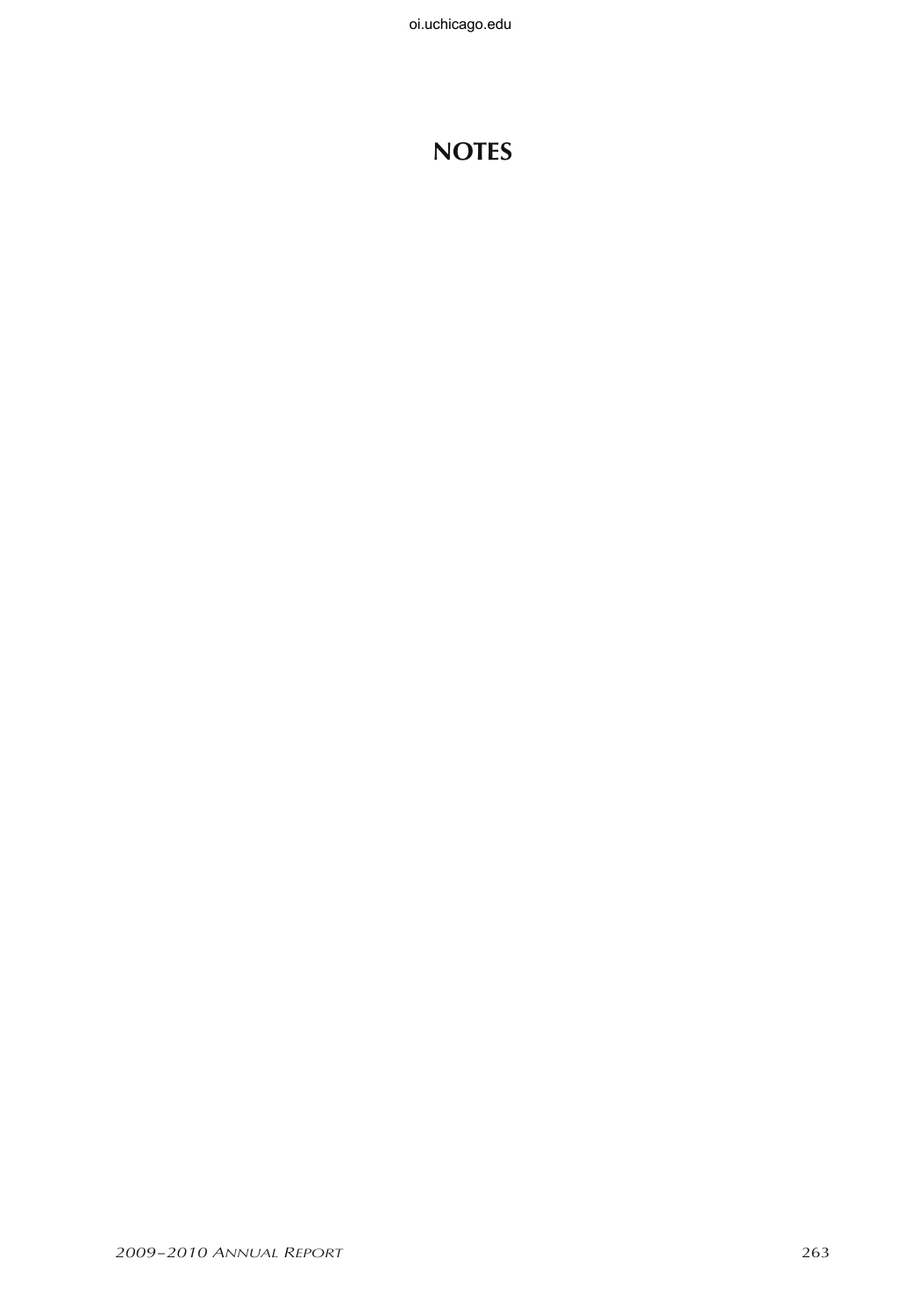# **Notes**